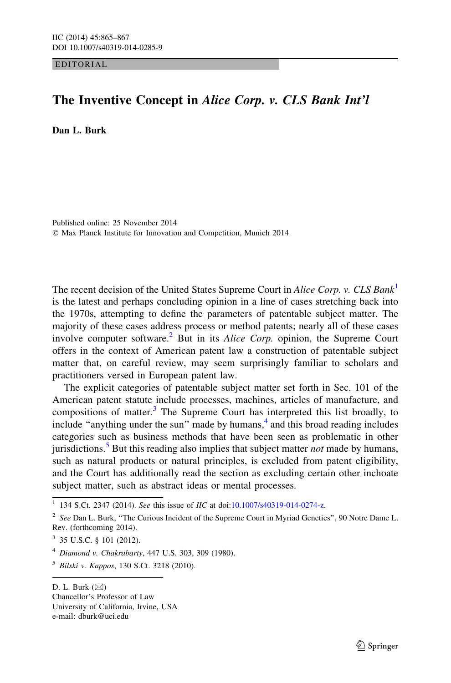EDITORIAL

## The Inventive Concept in Alice Corp. v. CLS Bank Int'l

Dan L. Burk

Published online: 25 November 2014 - Max Planck Institute for Innovation and Competition, Munich 2014

The recent decision of the United States Supreme Court in Alice Corp. v. CLS Bank<sup>1</sup> is the latest and perhaps concluding opinion in a line of cases stretching back into the 1970s, attempting to define the parameters of patentable subject matter. The majority of these cases address process or method patents; nearly all of these cases involve computer software.<sup>2</sup> But in its *Alice Corp*. opinion, the Supreme Court offers in the context of American patent law a construction of patentable subject matter that, on careful review, may seem surprisingly familiar to scholars and practitioners versed in European patent law.

The explicit categories of patentable subject matter set forth in Sec. 101 of the American patent statute include processes, machines, articles of manufacture, and compositions of matter.<sup>3</sup> The Supreme Court has interpreted this list broadly, to include "anything under the sun" made by humans, $<sup>4</sup>$  and this broad reading includes</sup> categories such as business methods that have been seen as problematic in other jurisdictions.<sup>5</sup> But this reading also implies that subject matter *not* made by humans, such as natural products or natural principles, is excluded from patent eligibility, and the Court has additionally read the section as excluding certain other inchoate subject matter, such as abstract ideas or mental processes.

Chancellor's Professor of Law University of California, Irvine, USA e-mail: dburk@uci.edu

 $\frac{1}{1}$  134 S.Ct. 2347 (2014). See this issue of *IIC* at doi[:10.1007/s40319-014-0274-z.](http://dx.doi.org/10.1007/s40319-014-0274-z)

 $2$  See Dan L. Burk, "The Curious Incident of the Supreme Court in Myriad Genetics", 90 Notre Dame L. Rev. (forthcoming 2014).

 $3$  35 U.S.C. § 101 (2012).

<sup>4</sup> Diamond v. Chakrabarty, 447 U.S. 303, 309 (1980).

 $5$  Bilski v. Kappos, 130 S.Ct. 3218 (2010).

D. L. Burk  $(\boxtimes)$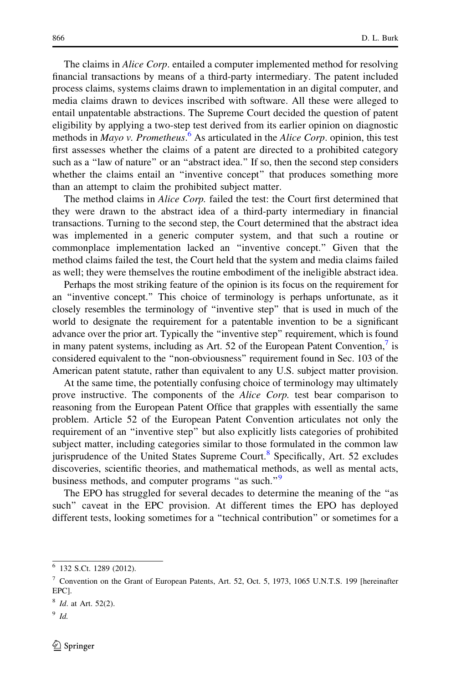The claims in *Alice Corp*. entailed a computer implemented method for resolving financial transactions by means of a third-party intermediary. The patent included process claims, systems claims drawn to implementation in an digital computer, and media claims drawn to devices inscribed with software. All these were alleged to entail unpatentable abstractions. The Supreme Court decided the question of patent eligibility by applying a two-step test derived from its earlier opinion on diagnostic methods in Mayo v. Prometheus.<sup>6</sup> As articulated in the Alice Corp. opinion, this test first assesses whether the claims of a patent are directed to a prohibited category such as a ''law of nature'' or an ''abstract idea.'' If so, then the second step considers whether the claims entail an "inventive concept" that produces something more than an attempt to claim the prohibited subject matter.

The method claims in *Alice Corp*. failed the test: the Court first determined that they were drawn to the abstract idea of a third-party intermediary in financial transactions. Turning to the second step, the Court determined that the abstract idea was implemented in a generic computer system, and that such a routine or commonplace implementation lacked an ''inventive concept.'' Given that the method claims failed the test, the Court held that the system and media claims failed as well; they were themselves the routine embodiment of the ineligible abstract idea.

Perhaps the most striking feature of the opinion is its focus on the requirement for an ''inventive concept.'' This choice of terminology is perhaps unfortunate, as it closely resembles the terminology of ''inventive step'' that is used in much of the world to designate the requirement for a patentable invention to be a significant advance over the prior art. Typically the ''inventive step'' requirement, which is found in many patent systems, including as Art. 52 of the European Patent Convention, $\frac{7}{1}$  is considered equivalent to the ''non-obviousness'' requirement found in Sec. 103 of the American patent statute, rather than equivalent to any U.S. subject matter provision.

At the same time, the potentially confusing choice of terminology may ultimately prove instructive. The components of the Alice Corp. test bear comparison to reasoning from the European Patent Office that grapples with essentially the same problem. Article 52 of the European Patent Convention articulates not only the requirement of an ''inventive step'' but also explicitly lists categories of prohibited subject matter, including categories similar to those formulated in the common law jurisprudence of the United States Supreme Court.<sup>8</sup> Specifically, Art. 52 excludes discoveries, scientific theories, and mathematical methods, as well as mental acts, business methods, and computer programs "as such."<sup>9</sup>

The EPO has struggled for several decades to determine the meaning of the ''as such'' caveat in the EPC provision. At different times the EPO has deployed different tests, looking sometimes for a ''technical contribution'' or sometimes for a

<sup>6</sup> 132 S.Ct. 1289 (2012).

<sup>7</sup> Convention on the Grant of European Patents, Art. 52, Oct. 5, 1973, 1065 U.N.T.S. 199 [hereinafter EPC].

 $8$  *Id.* at Art. 52(2).

 $9$  Id.